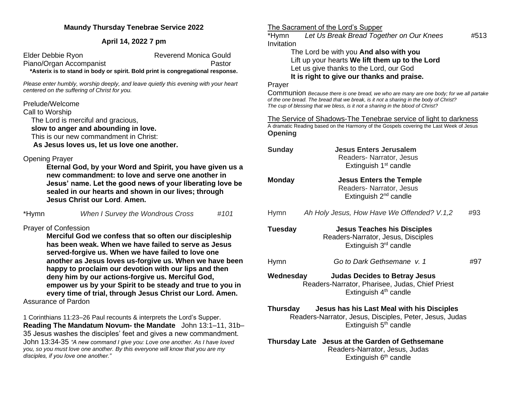### **Maundy Thursday Tenebrae Service 2022**

### **April 14, 2022 7 pm**

| Elder Debbie Ryon                                                              | <b>Reverend Monica Gould</b> |
|--------------------------------------------------------------------------------|------------------------------|
| Piano/Organ Accompanist                                                        | Pastor                       |
| *Asterix is to stand in body or spirit. Bold print is congregational response. |                              |

*Please enter humbly, worship deeply, and leave quietly this evening with your heart centered on the suffering of Christ for you.* 

# Prelude/Welcome

Call to Worship

The Lord is merciful and gracious,

 **slow to anger and abounding in love.** 

This is our new commandment in Christ:

 **As Jesus loves us, let us love one another.** 

# Opening Prayer

**Eternal God, by your Word and Spirit, you have given us a new commandment: to love and serve one another in Jesus' name. Let the good news of your liberating love be sealed in our hearts and shown in our lives; through Jesus Christ our Lord**. **Amen.** 

|  | *Hymn | When I Survey the Wondrous Cross | #101 |
|--|-------|----------------------------------|------|
|--|-------|----------------------------------|------|

# Prayer of Confession

**Merciful God we confess that so often our discipleship has been weak. When we have failed to serve as Jesus served-forgive us. When we have failed to love one another as Jesus loves us-forgive us. When we have been happy to proclaim our devotion with our lips and then deny him by our actions-forgive us. Merciful God, empower us by your Spirit to be steady and true to you in every time of trial, through Jesus Christ our Lord. Amen.**  Assurance of Pardon

1 Corinthians 11:23–26 Paul recounts & interprets the Lord's Supper. **Reading The Mandatum Novum- the Mandate** John 13:1–11, 31b– 35 Jesus washes the disciples' feet and gives a new commandment. John 13:34-35 *"A new command I give you: Love one another. As I have loved you, so you must love one another. By this everyone will know that you are my disciples, if you love one another."*

# The Sacrament of the Lord's Supper

\*Hymn *Let Us Break Bread Together on Our Knees* #513 **Invitation** 

The Lord be with you **And also with you** Lift up your hearts **We lift them up to the Lord** Let us give thanks to the Lord, our God **It is right to give our thanks and praise.** 

#### Prayer

Communion *Because there is one bread, we who are many are one body; for we all partake of the one bread. The bread that we break, is it not a sharing in the body of Christ? The cup of blessing that we bless, is it not a sharing in the blood of Christ?*

The Service of Shadows-The Tenebrae service of light to darkness A dramatic Reading based on the Harmony of the Gospels covering the Last Week of Jesus **Opening**

- **Sunday Jesus Enters Jerusalem** Readers- Narrator, Jesus Extinguish  $1<sup>st</sup>$  candle **Monday Jesus Enters the Temple** Readers- Narrator, Jesus Extinguish  $2<sup>nd</sup>$  candle
- Hymn *Ah Holy Jesus, How Have We Offended? V.1,2* #93
- **Tuesday Jesus Teaches his Disciples** Readers-Narrator, Jesus, Disciples Extinguish 3rd candle Hymn **Go to Dark Gethsemane** v. 1 #97 **Wednesday Judas Decides to Betray Jesus** Readers-Narrator, Pharisee, Judas, Chief Priest Extinguish  $4<sup>th</sup>$  candle
- **Thursday Jesus has his Last Meal with his Disciples** Readers-Narrator, Jesus, Disciples, Peter, Jesus, Judas Extinguish  $5<sup>th</sup>$  candle

# **Thursday Late Jesus at the Garden of Gethsemane** Readers-Narrator, Jesus, Judas Extinguish 6<sup>th</sup> candle